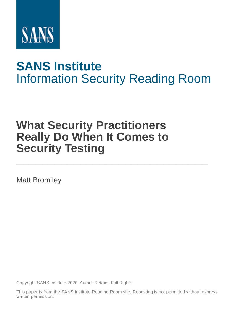

# **SANS Institute** [Information Secu](http://www.sans.org/info/36909)rity Reading Room

# **What Security Practitioners Really Do When It Comes to Security Testing \_\_\_\_\_\_\_\_\_\_\_\_\_\_\_\_\_\_\_\_\_\_\_\_\_\_\_\_\_\_**

Matt Bromiley

Copyright SANS Institute 2020. Author Retains Full Rights.

This paper is from the SANS Institute Reading Room site. Reposting is not permitted without express written permission.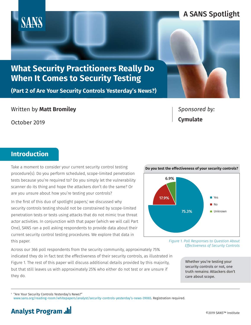## **What Security Practitioners Really Do When It Comes to Security Testing**

**(Part 2 of Are Your Security Controls Yesterday's News?)**

Written by **Matt Bromiley**

October 2019

## *Sponsored by:* **Cymulate**

## **Introduction**

Take a moment to consider your current security control testing procedure(s). Do you perform scheduled, scope-limited penetration tests because you're required to? Do you simply let the vulnerability scanner do its thing and hope the attackers don't do the same? Or are you unsure about how you're testing your controls?

In the first of this duo of spotlight papers,<sup>1</sup> we discussed why security controls testing should not be constrained by scope-limited penetration tests or tests using attacks that do not mimic true threat actor activities. In conjunction with that paper (which we will call Part One), SANS ran a poll asking respondents to provide data about their current security control testing procedures. We explore that data in this paper.

Across our 366 poll respondents from the security community, approximately 75% indicated they do in fact test the effectiveness of their security controls, as illustrated in Figure 1. The rest of this paper will discuss additional details provided by this majority, but that still leaves us with approximately 25% who either do not test or are unsure if they do.

*Figure 1. Poll Responses to Question About Effectiveness of Security Controls*

> Whether you're testing your security controls or not, one truth remains: Attackers don't care about scope.

1 "Are Your Security Controls Yesterday's News?"



**Do you test the effectiveness of your security controls?**

## **Analyst Program**

## A SANS Spotlight

www.sans.org/reading-room/whitepapers/analyst/security-controls-yesterday's-news-39065. Registration required.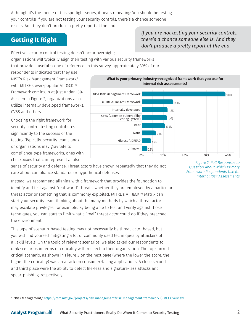Although it's the theme of this spotlight series, it bears repeating: You should be testing your controls! If you are not testing your security controls, there's a chance someone else is. And they don't produce a pretty report at the end.

## **Getting It Right**

#### *If you are not testing your security controls, there's a chance someone else is. And they don't produce a pretty report at the end.*

Effective security control testing doesn't occur overnight; organizations will typically align their testing with various security frameworks

that provide a useful scope of reference. In this survey, approximately 39% of our

respondents indicated that they use NIST's Risk Management Framework,2 with MITRE's ever-popular ATT&CK™ Framework coming in at just under 15%. As seen in Figure 2, organizations also utilize internally developed frameworks, CVSS and others.

Choosing the right framework for security control testing contributes significantly to the success of the testing. Typically, security teams and/ or organizations may gravitate to compliance-type frameworks, ones with checkboxes that can represent a false



sense of security and defense. Threat actors have shown repeatedly that they do not care about compliance standards or hypothetical defenses.

Instead, we recommend aligning with a framework that provides the foundation to identify and test against "real-world" threats, whether they are employed by a particular threat actor or something that is commonly exploited. MITRE's ATT&CK™ Matrix can start your security team thinking about the many methods by which a threat actor may escalate privileges, for example. By being able to test and verify against those techniques, you can start to limit what a "real" threat actor could do if they breached the environment.

This type of scenario-based testing may not necessarily be threat-actor based, but you will find yourself mitigating a lot of commonly used techniques by attackers of all skill levels. On the topic of relevant scenarios, we also asked our respondents to rank scenarios in terms of criticality with respect to their organization. The top-ranked critical scenario, as shown in Figure 3 on the next page (where the lower the score, the higher the criticality) was an attack on consumer-facing applications. A close second and third place were the ability to detect file-less and signature-less attacks and spear-phishing, respectively.

*Figure 2. Poll Responses to Question About Which Primary Framework Respondents Use for Internal Risk Assessments*

2 "Risk Management," https://csrc.nist.gov/projects/risk-management/risk-management-framework-(RMF)-Overview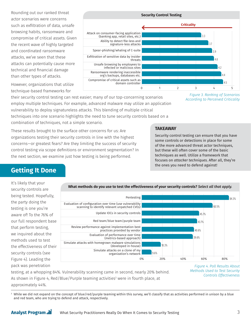Rounding out our ranked threat actor scenarios were concerns such as exfiltration of data, unsafe browsing habits, ransomware and compromise of critical assets. Given the recent wave of highly targeted and coordinated ransomware attacks, we've seen that these attacks can potentially cause more technical and financial damage than other types of attacks.

However, organizations that utilize technique-based frameworks for



their security control testing can rest easier; many of our top-concerning scenarios employ multiple techniques. For example, advanced malware may utilize an application vulnerability to deploy signatureless attacks. This blending of multiple critical techniques into one scenario highlights the need to tune security controls based on a combination of techniques, not a simple scenario.

*Figure 3. Ranking of Scenarios According to Perceived Criticality*

These results brought to the surface other concerns for us: Are organizations testing their security controls in line with the highest concerns—or greatest fears? Are they limiting the success of security control testing via scope definitions or environment segmentation? In the next section, we examine just how testing is being performed.

#### **TAKEAWAY**

Security control testing can ensure that you have some controls or detections in place for some of the more advanced threat actor techniques, but these will often cover some of the basic techniques as well. Utilize a framework that focuses on *attacker techniques*. After all, they're the ones you need to defend against!

## **Getting It Done**

It's likely that your security controls are being tested. Hopefully, the party doing the testing is one you're aware of! To the 76% of our full respondent base that perform testing, we inquired about the methods used to test the effectiveness of their security controls (see Figure 4). Leading the pack was penetration



**What methods do you use to test the effectiveness of your security controls?** *Select all that apply.*

testing, at a whopping 84%. Vulnerability scanning came in second, nearly 20% behind. As shown in Figure 4, Red/Blue/Purple teaming activities<sup>3</sup> were in fourth place, at approximately 44%.

*Figure 4. Poll Results About Methods Used to Test Security Controls Effectiveness*

 $^{\rm 3}$  While we did not expand on the concept of blue/red/purple teaming within this survey, we'll classify that as activities performed in unison by a blue and red team, who are trying to defend and attack, respectively.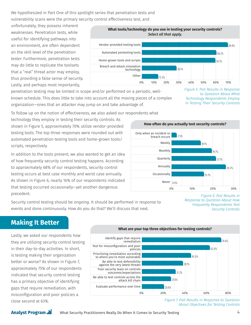We hypothesized in Part One of this spotlight series that penetration tests and vulnerability scans were the primary security control effectiveness test, and

unfortunately, they possess inherent weaknesses. Penetration tests, while useful for identifying pathways into an environment, are often dependent on the skill level of the penetration tester. Furthermore, penetration tests may do little to replicate the toolsets that a "real" threat actor may employ, thus providing a false sense of security. Lastly, and perhaps most importantly,



penetration testing may be limited in scope and/or performed on a periodic, wellknown schedule. This does little to take into account all the moving pieces of a complex organization—ones that an attacker may jump on and take advantage of.

*Figure 5. Poll Results in Response to Question About What Technology Respondents Employ in Testing Their Security Controls*

To follow up on the notion of effectiveness, we also asked our respondents what

technology they employ in testing their security controls. As shown in Figure 5, approximately 70% utilize vendor-provided testing tools. The top three responses were rounded out with automated penetration testing tools and home-grown tools/ scripts, respectively.

In addition to the tools present, we also wanted to get an idea of how frequently security control testing happens. According to approximately 68% of our respondents, security control testing occurs at best case monthly and worst case annually. As shown in Figure 6, nearly 16% of our respondents indicated that testing occurred occasionally—yet another dangerous precedent.



Security control testing should be *ongoing*. It should be performed in response to events and done continuously. How do you do that? We'll discuss that next.

*Figure 6. Poll Results in Response to Question About How Frequently Respondents Test Security Controls*

### **Making It Better**

Lastly, we asked our respondents how they are utilizing security control testing in their day-to-day activities. In short, is testing making their organization better or worse? As shown in Figure 7, approximately 75% of our respondents indicated that security control testing has a primary objective of identifying gaps that require remediation, with misconfiguration and poor policies a close second at 63%.



*Figure 7. Poll Results in Response to Question About Objectives for Testing Controls*

#### **Analyst Program ...**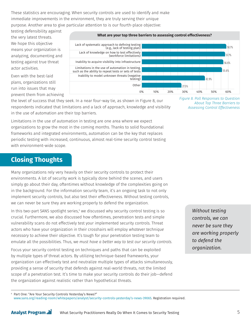These statistics are encouraging. When security controls are used to identify and make immediate improvements in the environment, they are truly serving their unique purpose. Another area to give particular attention to is our fourth-place objective:

testing defensibility against the very latest threats. We hope this objective means your organization is analyzing, documenting and testing against true threat actor activities.

Even with the best-laid plans, organizations still run into issues that may prevent them from achieving



the level of success that they seek. In a near four-way tie, as shown in Figure 8, our respondents indicated that limitations and a lack of approach, knowledge and visibility in the use of automation are their top barriers.

Limitations in the use of automation in testing are one area where we expect organizations to grow the most in the coming months. Thanks to solid foundational frameworks and integrated environments, automation can be the key that replaces periodic testing with increased, continuous, almost real-time security control testing with environment-wide scope.

## **Closing Thoughts**

Many organizations rely very heavily on their security controls to protect their environments. A lot of security work is typically done behind the scenes, and users simply go about their day, oftentimes without knowledge of the complexities going on in the background. For the information security team, it's an ongoing task to not only implement security controls, but also test their effectiveness. Without testing controls, we can never be sure they are working properly to defend the organization.

In this two-part SANS spotlight series,<sup>4</sup> we discussed why security control testing is so crucial. Furthermore, we also discussed how oftentimes, penetration tests and simple vulnerability scans do not effectively test your implemented security controls. Threat actors who have your organization in their crosshairs will employ *whatever technique necessary* to achieve their objective. It's tough for your penetration testing team to emulate all the possibilities. Thus, we *must have a better way to test our security controls.*

Focus your security control testing on techniques and paths that can be exploited by multiple types of threat actors. By utilizing technique-based frameworks, your organization can effectively test and neutralize multiple types of attacks simultaneously, providing a sense of security that defends against real-world threats, not the limited scope of a penetration test. It's time to make your security controls do their job—defend the organization against realistic rather than hypothetical threats.

*Figure 8. Poll Responses to Question About Top Three Barriers to Assessing Control Effectiveness*

> *Without testing controls, we can never be sure they are working properly to defend the organization.*

4 Part One: "Are Your Security Controls Yesterday's News?"

www.sans.org/reading-room/whitepapers/analyst/security-controls-yesterday's-news-39065. Registration required.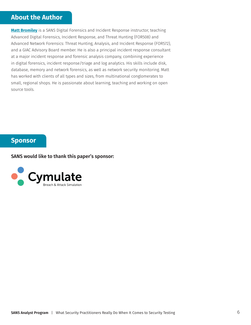### **About the Author**

**Matt Bromiley** is a SANS Digital Forensics and Incident Response instructor, teaching Advanced Digital Forensics, Incident Response, and Threat Hunting (FOR508) and Advanced Network Forensics: Threat Hunting, Analysis, and Incident Response (FOR572), and a GIAC Advisory Board member. He is also a principal incident response consultant at a major incident response and forensic analysis company, combining experience in digital forensics, incident response/triage and log analytics. His skills include disk, database, memory and network forensics, as well as network security monitoring. Matt has worked with clients of all types and sizes, from multinational conglomerates to small, regional shops. He is passionate about learning, teaching and working on open source tools.

#### **Sponsor**

**SANS would like to thank this paper's sponsor:**